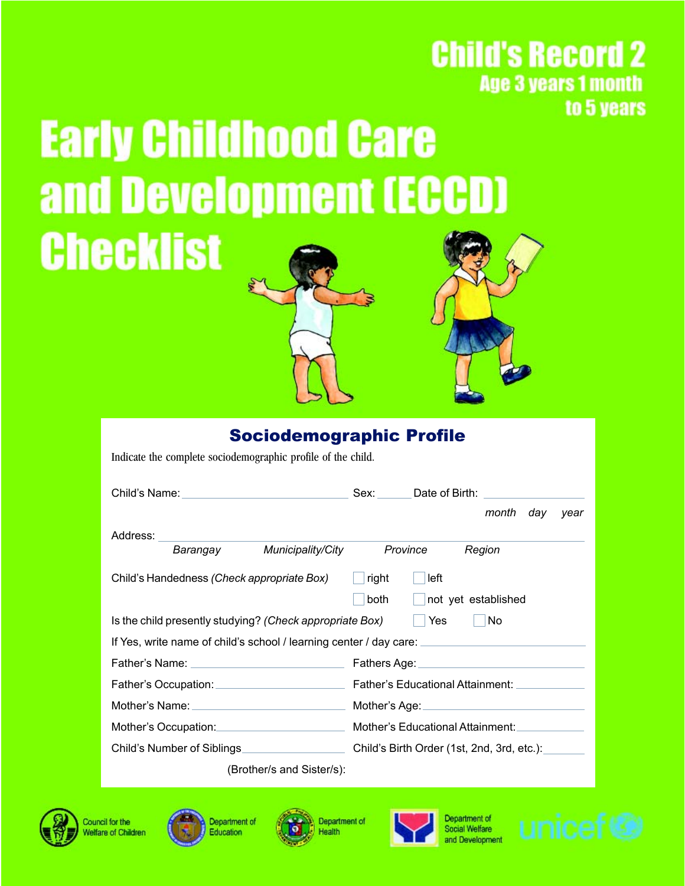## **Child's Record 2 Age 3 years 1 month** to 5 years

# **Early Childhood Care** and Development (ECCD) **Checklist**

#### Sociodemographic Profile

Indicate the complete sociodemographic profile of the child.

|                                                                                         | Sex: Date of Birth:                                                                    |  |  |  |
|-----------------------------------------------------------------------------------------|----------------------------------------------------------------------------------------|--|--|--|
|                                                                                         | month<br>day<br>year                                                                   |  |  |  |
| Address:                                                                                |                                                                                        |  |  |  |
| Municipality/City<br>Barangay                                                           | Province<br>Region                                                                     |  |  |  |
| Child's Handedness (Check appropriate Box)                                              | right<br>left                                                                          |  |  |  |
|                                                                                         | both<br>not yet established                                                            |  |  |  |
| Is the child presently studying? (Check appropriate Box)                                | Yes<br>No.                                                                             |  |  |  |
| If Yes, write name of child's school / learning center / day care: ____________________ |                                                                                        |  |  |  |
|                                                                                         |                                                                                        |  |  |  |
|                                                                                         | Father's Occupation: Father's Educational Attainment: Lather's Educational Attainment: |  |  |  |
|                                                                                         |                                                                                        |  |  |  |
| Mother's Occupation: Mother's Educational Attainment:                                   |                                                                                        |  |  |  |
| Child's Number of Siblings                                                              | Child's Birth Order (1st, 2nd, 3rd, etc.):                                             |  |  |  |
| (Brother/s and Sister/s):                                                               |                                                                                        |  |  |  |



Council for the **Velfare of Children** 





Department of Health



Department of Social Welfare

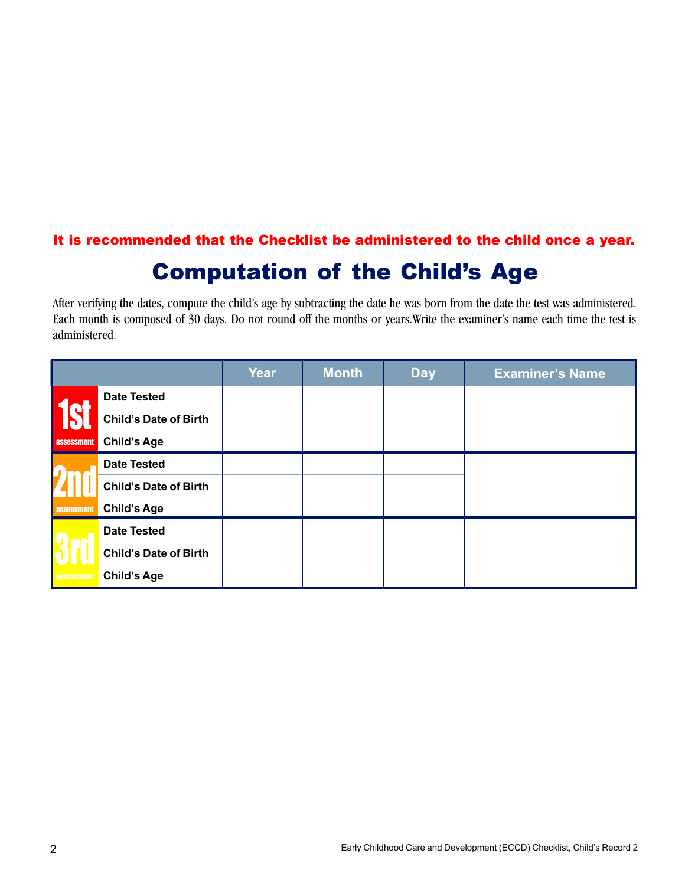#### It is recommended that the Checklist be administered to the child once a year.

## Computation of the Child's Age

After verifying the dates, compute the child's age by subtracting the date he was born from the date the test was administered. Each month is composed of 30 days. Do not round off the months or years.Write the examiner's name each time the test is administered.

|                   |                              | Year | <b>Month</b> | <b>Day</b> | <b>Examiner's Name</b> |
|-------------------|------------------------------|------|--------------|------------|------------------------|
|                   | <b>Date Tested</b>           |      |              |            |                        |
|                   | <b>Child's Date of Birth</b> |      |              |            |                        |
| <b>assessment</b> | <b>Child's Age</b>           |      |              |            |                        |
|                   | <b>Date Tested</b>           |      |              |            |                        |
|                   | <b>Child's Date of Birth</b> |      |              |            |                        |
| assessment        | <b>Child's Age</b>           |      |              |            |                        |
|                   | <b>Date Tested</b>           |      |              |            |                        |
|                   | <b>Child's Date of Birth</b> |      |              |            |                        |
| assessment        | <b>Child's Age</b>           |      |              |            |                        |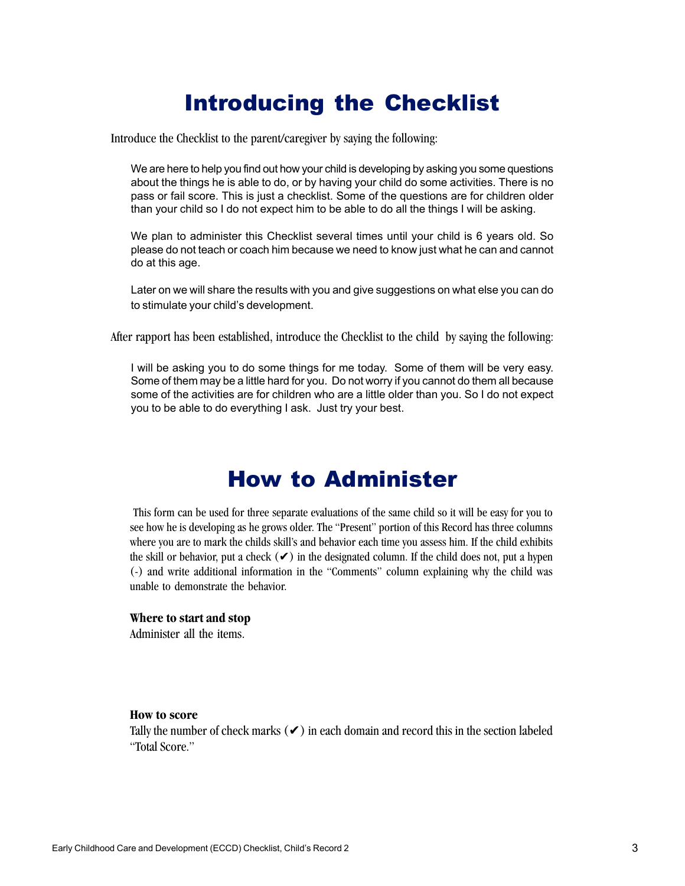## Introducing the Checklist

Introduce the Checklist to the parent/caregiver by saying the following:

We are here to help you find out how your child is developing by asking you some questions about the things he is able to do, or by having your child do some activities. There is no pass or fail score. This is just a checklist. Some of the questions are for children older than your child so I do not expect him to be able to do all the things I will be asking.

We plan to administer this Checklist several times until your child is 6 years old. So please do not teach or coach him because we need to know just what he can and cannot do at this age.

Later on we will share the results with you and give suggestions on what else you can do to stimulate your child's development.

After rapport has been established, introduce the Checklist to the child by saying the following:

I will be asking you to do some things for me today. Some of them will be very easy. Some of them may be a little hard for you. Do not worry if you cannot do them all because some of the activities are for children who are a little older than you. So I do not expect you to be able to do everything I ask. Just try your best.

## How to Administer

This form can be used for three separate evaluations of the same child so it will be easy for you to see how he is developing as he grows older. The "Present" portion of this Record has three columns where you are to mark the childs skill's and behavior each time you assess him. If the child exhibits the skill or behavior, put a check  $(\vee)$  in the designated column. If the child does not, put a hypen (-) and write additional information in the "Comments" column explaining why the child was unable to demonstrate the behavior.

#### **Where to start and stop**

Administer all the items.

#### **How to score**

Tally the number of check marks  $(\vee)$  in each domain and record this in the section labeled "Total Score."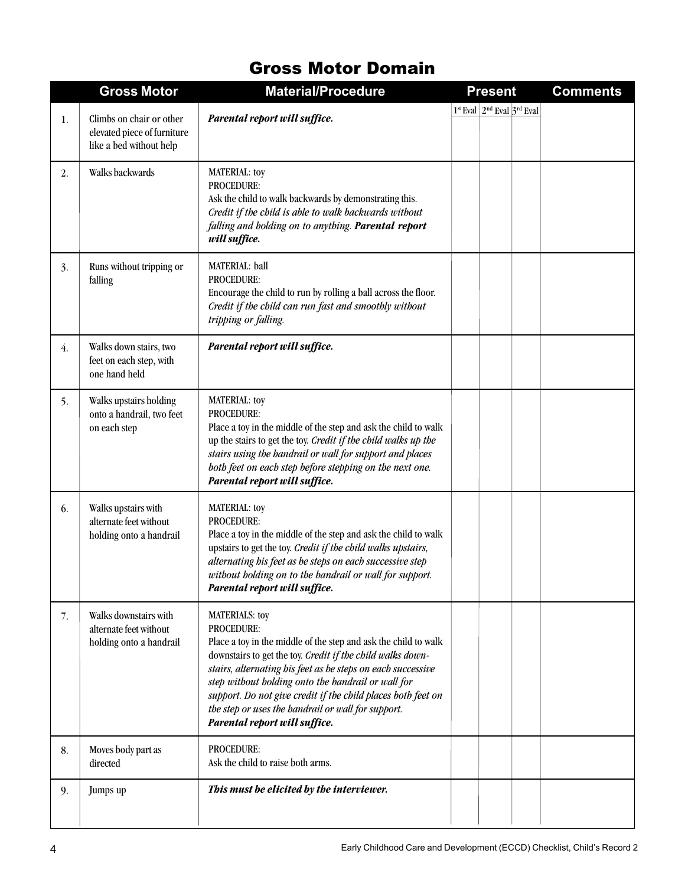#### Gross Motor Domain

|                  | <b>Gross Motor</b>                                                                 | <b>Material/Procedure</b>                                                                                                                                                                                                                                                                                                                                                                                                                               | <b>Present</b>                   | <b>Comments</b> |
|------------------|------------------------------------------------------------------------------------|---------------------------------------------------------------------------------------------------------------------------------------------------------------------------------------------------------------------------------------------------------------------------------------------------------------------------------------------------------------------------------------------------------------------------------------------------------|----------------------------------|-----------------|
| 1.               | Climbs on chair or other<br>elevated piece of furniture<br>like a bed without help | Parental report will suffice.                                                                                                                                                                                                                                                                                                                                                                                                                           | $1st$ Eval $2nd$ Eval $3rd$ Eval |                 |
| 2.               | Walks backwards                                                                    | <b>MATERIAL:</b> toy<br>PROCEDURE:<br>Ask the child to walk backwards by demonstrating this.<br>Credit if the child is able to walk backwards without<br>falling and holding on to anything. Parental report<br>will suffice.                                                                                                                                                                                                                           |                                  |                 |
| 3.               | Runs without tripping or<br>falling                                                | MATERIAL: ball<br><b>PROCEDURE:</b><br>Encourage the child to run by rolling a ball across the floor.<br>Credit if the child can run fast and smoothly without<br>tripping or falling.                                                                                                                                                                                                                                                                  |                                  |                 |
| $\overline{4}$ . | Walks down stairs, two<br>feet on each step, with<br>one hand held                 | Parental report will suffice.                                                                                                                                                                                                                                                                                                                                                                                                                           |                                  |                 |
| 5.               | Walks upstairs holding<br>onto a handrail, two feet<br>on each step                | <b>MATERIAL:</b> toy<br><b>PROCEDURE:</b><br>Place a toy in the middle of the step and ask the child to walk<br>up the stairs to get the toy. Credit if the child walks up the<br>stairs using the handrail or wall for support and places<br>both feet on each step before stepping on the next one.<br>Parental report will suffice.                                                                                                                  |                                  |                 |
| 6.               | Walks upstairs with<br>alternate feet without<br>holding onto a handrail           | <b>MATERIAL:</b> toy<br><b>PROCEDURE:</b><br>Place a toy in the middle of the step and ask the child to walk<br>upstairs to get the toy. Credit if the child walks upstairs,<br>alternating his feet as he steps on each successive step<br>without holding on to the handrail or wall for support.<br>Parental report will suffice.                                                                                                                    |                                  |                 |
| 7.               | Walks downstairs with<br>alternate feet without<br>holding onto a handrail         | <b>MATERIALS: toy</b><br><b>PROCEDURE:</b><br>Place a toy in the middle of the step and ask the child to walk<br>downstairs to get the toy. Credit if the child walks down-<br>stairs, alternating his feet as he steps on each successive<br>step without holding onto the handrail or wall for<br>support. Do not give credit if the child places both feet on<br>the step or uses the handrail or wall for support.<br>Parental report will suffice. |                                  |                 |
| 8.               | Moves body part as<br>directed                                                     | PROCEDURE:<br>Ask the child to raise both arms.                                                                                                                                                                                                                                                                                                                                                                                                         |                                  |                 |
| 9.               | Jumps up                                                                           | This must be elicited by the interviewer.                                                                                                                                                                                                                                                                                                                                                                                                               |                                  |                 |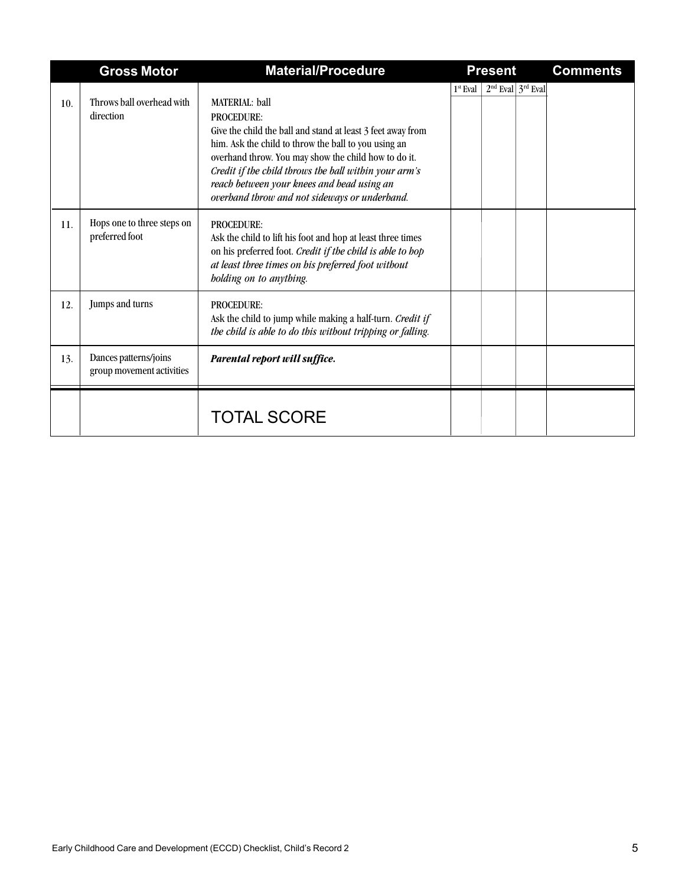|     | <b>Gross Motor</b>                                 | <b>Material/Procedure</b>                                                                                                                                                                                                                                                                                                                                                         | <b>Present</b>                      | <b>Comments</b> |
|-----|----------------------------------------------------|-----------------------------------------------------------------------------------------------------------------------------------------------------------------------------------------------------------------------------------------------------------------------------------------------------------------------------------------------------------------------------------|-------------------------------------|-----------------|
| 10. | Throws hall overhead with<br>direction             | <b>MATERIAL:</b> ball<br><b>PROCEDURE:</b><br>Give the child the ball and stand at least 3 feet away from<br>him. Ask the child to throw the ball to you using an<br>overhand throw. You may show the child how to do it.<br>Credit if the child throws the ball within your arm's<br>reach between your knees and head using an<br>overband throw and not sideways or underband. | $2nd$ Eval $3rd$ Eval<br>$1st$ Eval |                 |
| 11. | Hops one to three steps on<br>preferred foot       | <b>PROCEDURE:</b><br>Ask the child to lift his foot and hop at least three times<br>on his preferred foot. Credit if the child is able to hop<br>at least three times on his preferred foot without<br>bolding on to anything.                                                                                                                                                    |                                     |                 |
| 12. | Jumps and turns                                    | <b>PROCEDURE:</b><br>Ask the child to jump while making a half-turn. Credit if<br>the child is able to do this without tripping or falling.                                                                                                                                                                                                                                       |                                     |                 |
| 13. | Dances patterns/joins<br>group movement activities | Parental report will suffice.                                                                                                                                                                                                                                                                                                                                                     |                                     |                 |
|     |                                                    | <b>TOTAL SCORE</b>                                                                                                                                                                                                                                                                                                                                                                |                                     |                 |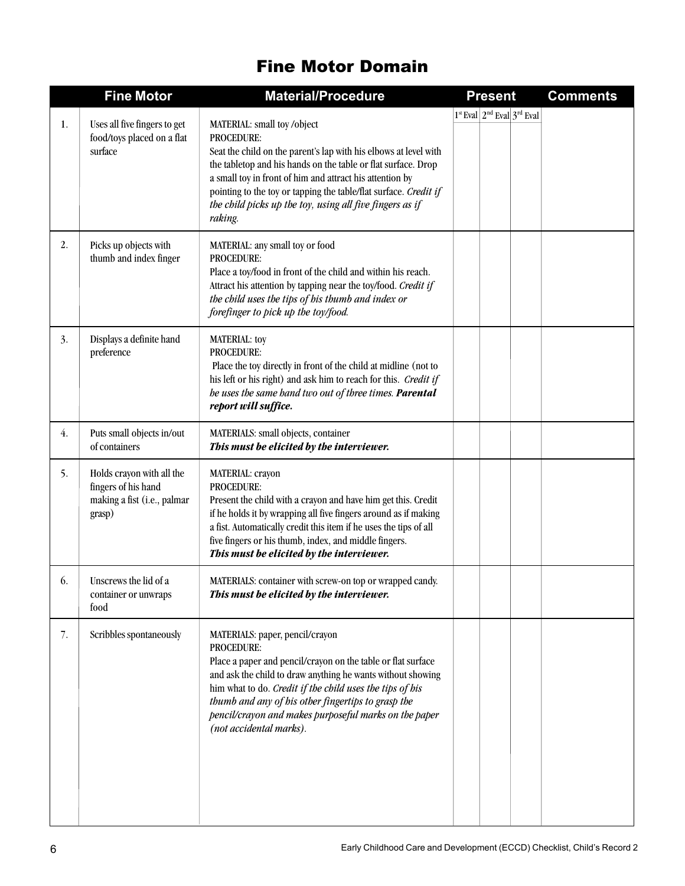### Fine Motor Domain

|    | <b>Fine Motor</b>                                                                         | <b>Material/Procedure</b>                                                                                                                                                                                                                                                                                                                                                                 | <b>Present</b>                   | <b>Comments</b> |
|----|-------------------------------------------------------------------------------------------|-------------------------------------------------------------------------------------------------------------------------------------------------------------------------------------------------------------------------------------------------------------------------------------------------------------------------------------------------------------------------------------------|----------------------------------|-----------------|
| 1. | Uses all five fingers to get<br>food/toys placed on a flat<br>surface                     | MATERIAL: small toy/object<br>PROCEDURE:<br>Seat the child on the parent's lap with his elbows at level with<br>the tabletop and his hands on the table or flat surface. Drop<br>a small toy in front of him and attract his attention by<br>pointing to the toy or tapping the table/flat surface. Credit if<br>the child picks up the toy, using all five fingers as if<br>raking.      | $1st$ Eval $2nd$ Eval $3rd$ Eval |                 |
| 2. | Picks up objects with<br>thumb and index finger                                           | MATERIAL: any small toy or food<br><b>PROCEDURE:</b><br>Place a toy/food in front of the child and within his reach.<br>Attract his attention by tapping near the toy/food. Credit if<br>the child uses the tips of his thumb and index or<br>forefinger to pick up the toy/food.                                                                                                         |                                  |                 |
| 3. | Displays a definite hand<br>preference                                                    | MATERIAL: toy<br><b>PROCEDURE:</b><br>Place the toy directly in front of the child at midline (not to<br>his left or his right) and ask him to reach for this. Credit if<br>be uses the same hand two out of three times. Parental<br>report will suffice.                                                                                                                                |                                  |                 |
| 4. | Puts small objects in/out<br>of containers                                                | MATERIALS: small objects, container<br>This must be elicited by the interviewer.                                                                                                                                                                                                                                                                                                          |                                  |                 |
| 5. | Holds crayon with all the<br>fingers of his hand<br>making a fist (i.e., palmar<br>grasp) | MATERIAL: crayon<br><b>PROCEDURE:</b><br>Present the child with a crayon and have him get this. Credit<br>if he holds it by wrapping all five fingers around as if making<br>a fist. Automatically credit this item if he uses the tips of all<br>five fingers or his thumb, index, and middle fingers.<br>This must be elicited by the interviewer.                                      |                                  |                 |
| 6. | Unscrews the lid of a<br>container or unwraps<br>food                                     | MATERIALS: container with screw-on top or wrapped candy.<br>This must be elicited by the interviewer.                                                                                                                                                                                                                                                                                     |                                  |                 |
| 7. | Scribbles spontaneously                                                                   | MATERIALS: paper, pencil/crayon<br><b>PROCEDURE:</b><br>Place a paper and pencil/crayon on the table or flat surface<br>and ask the child to draw anything he wants without showing<br>him what to do. Credit if the child uses the tips of his<br>thumb and any of his other fingertips to grasp the<br>pencil/crayon and makes purposeful marks on the paper<br>(not accidental marks). |                                  |                 |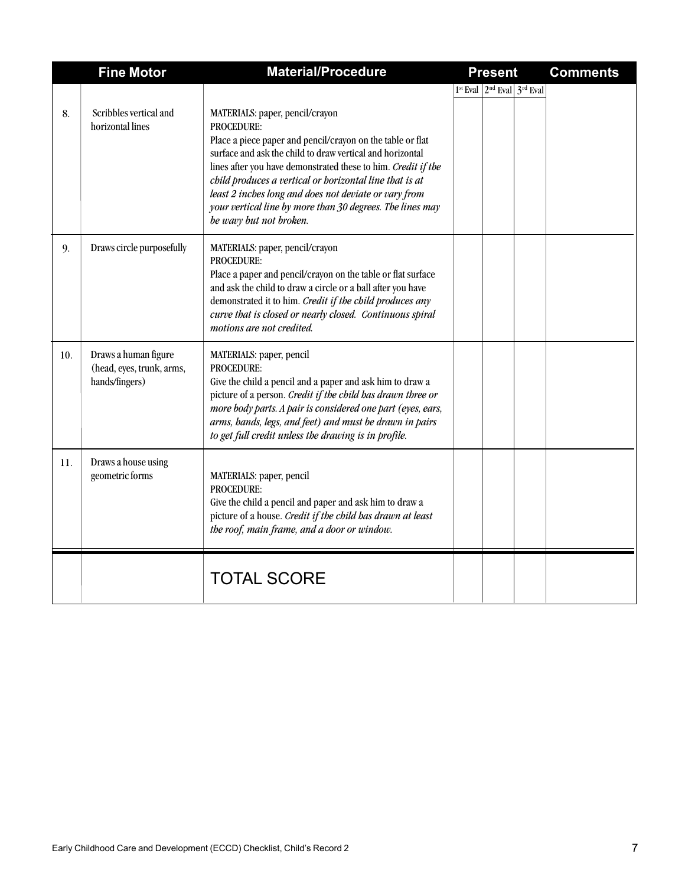|     | <b>Fine Motor</b>                                                   | <b>Material/Procedure</b>                                                                                                                                                                                                                                                                                                                                                                                                                             | <b>Present</b>                   | <b>Comments</b> |
|-----|---------------------------------------------------------------------|-------------------------------------------------------------------------------------------------------------------------------------------------------------------------------------------------------------------------------------------------------------------------------------------------------------------------------------------------------------------------------------------------------------------------------------------------------|----------------------------------|-----------------|
| 8.  | Scribbles vertical and<br>horizontal lines                          | MATERIALS: paper, pencil/crayon<br>PROCEDURE:<br>Place a piece paper and pencil/crayon on the table or flat<br>surface and ask the child to draw vertical and horizontal<br>lines after you have demonstrated these to him. Credit if the<br>child produces a vertical or horizontal line that is at<br>least 2 inches long and does not deviate or vary from<br>your vertical line by more than 30 degrees. The lines may<br>be wavy but not broken. | $1st$ Eval $2nd$ Eval $3rd$ Eval |                 |
| 9.  | Draws circle purposefully                                           | MATERIALS: paper, pencil/crayon<br>PROCEDURE:<br>Place a paper and pencil/crayon on the table or flat surface<br>and ask the child to draw a circle or a ball after you have<br>demonstrated it to him. Credit if the child produces any<br>curve that is closed or nearly closed. Continuous spiral<br>motions are not credited.                                                                                                                     |                                  |                 |
| 10. | Draws a human figure<br>(head, eyes, trunk, arms,<br>hands/fingers) | MATERIALS: paper, pencil<br><b>PROCEDURE:</b><br>Give the child a pencil and a paper and ask him to draw a<br>picture of a person. Credit if the child has drawn three or<br>more body parts. A pair is considered one part (eyes, ears,<br>arms, hands, legs, and feet) and must be drawn in pairs<br>to get full credit unless the drawing is in profile.                                                                                           |                                  |                 |
| 11. | Draws a house using<br>geometric forms                              | MATERIALS: paper, pencil<br>PROCEDURE:<br>Give the child a pencil and paper and ask him to draw a<br>picture of a house. Credit if the child has drawn at least<br>the roof, main frame, and a door or window.                                                                                                                                                                                                                                        |                                  |                 |
|     |                                                                     | <b>TOTAL SCORE</b>                                                                                                                                                                                                                                                                                                                                                                                                                                    |                                  |                 |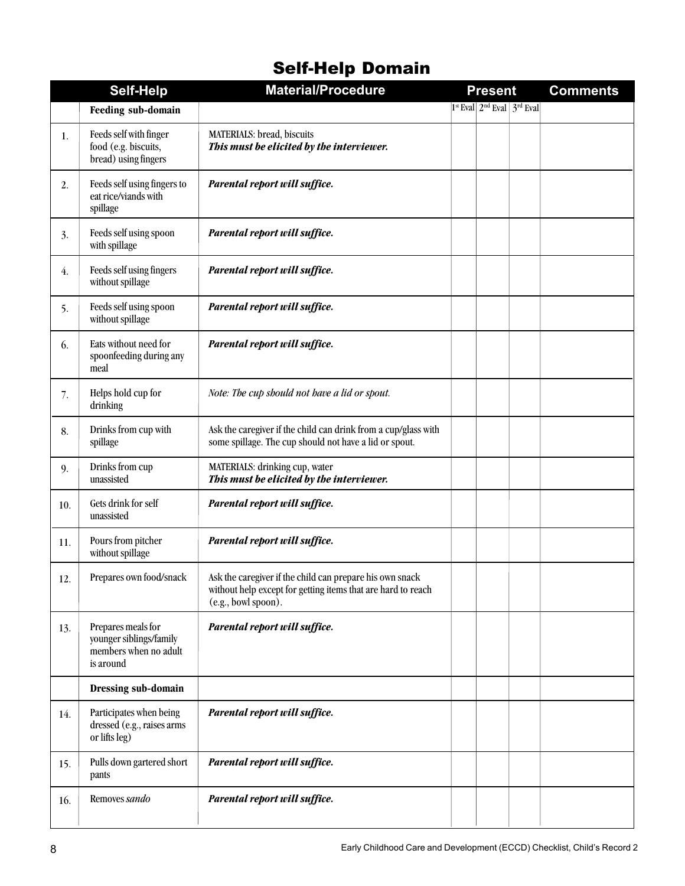## Self-Help Domain

|     | <b>Self-Help</b>                                                                    | <b>Material/Procedure</b>                                                                                                                       | <b>Present</b>                   | <b>Comments</b> |
|-----|-------------------------------------------------------------------------------------|-------------------------------------------------------------------------------------------------------------------------------------------------|----------------------------------|-----------------|
|     | Feeding sub-domain                                                                  |                                                                                                                                                 | $1st$ Eval $2nd$ Eval $3rd$ Eval |                 |
| 1.  | Feeds self with finger<br>food (e.g. biscuits,<br>bread) using fingers              | MATERIALS: bread, biscuits<br>This must be elicited by the interviewer.                                                                         |                                  |                 |
| 2.  | Feeds self using fingers to<br>eat rice/viands with<br>spillage                     | Parental report will suffice.                                                                                                                   |                                  |                 |
| 3.  | Feeds self using spoon<br>with spillage                                             | Parental report will suffice.                                                                                                                   |                                  |                 |
| 4.  | Feeds self using fingers<br>without spillage                                        | Parental report will suffice.                                                                                                                   |                                  |                 |
| 5.  | Feeds self using spoon<br>without spillage                                          | Parental report will suffice.                                                                                                                   |                                  |                 |
| 6.  | Eats without need for<br>spoonfeeding during any<br>meal                            | Parental report will suffice.                                                                                                                   |                                  |                 |
| 7.  | Helps hold cup for<br>drinking                                                      | Note: The cup should not have a lid or spout.                                                                                                   |                                  |                 |
| 8.  | Drinks from cup with<br>spillage                                                    | Ask the caregiver if the child can drink from a cup/glass with<br>some spillage. The cup should not have a lid or spout.                        |                                  |                 |
| 9.  | Drinks from cup<br>unassisted                                                       | MATERIALS: drinking cup, water<br>This must be elicited by the interviewer.                                                                     |                                  |                 |
| 10. | Gets drink for self<br>unassisted                                                   | Parental report will suffice.                                                                                                                   |                                  |                 |
| 11. | Pours from pitcher<br>without spillage                                              | Parental report will suffice.                                                                                                                   |                                  |                 |
| 12. | Prepares own food/snack                                                             | Ask the caregiver if the child can prepare his own snack<br>without help except for getting items that are hard to reach<br>(e.g., bowl spoon). |                                  |                 |
| 13. | Prepares meals for<br>younger siblings/family<br>members when no adult<br>is around | Parental report will suffice.                                                                                                                   |                                  |                 |
|     | Dressing sub-domain                                                                 |                                                                                                                                                 |                                  |                 |
| 14. | Participates when being<br>dressed (e.g., raises arms<br>or lifts leg)              | Parental report will suffice.                                                                                                                   |                                  |                 |
| 15. | Pulls down gartered short<br>pants                                                  | Parental report will suffice.                                                                                                                   |                                  |                 |
| 16. | Removes sando                                                                       | Parental report will suffice.                                                                                                                   |                                  |                 |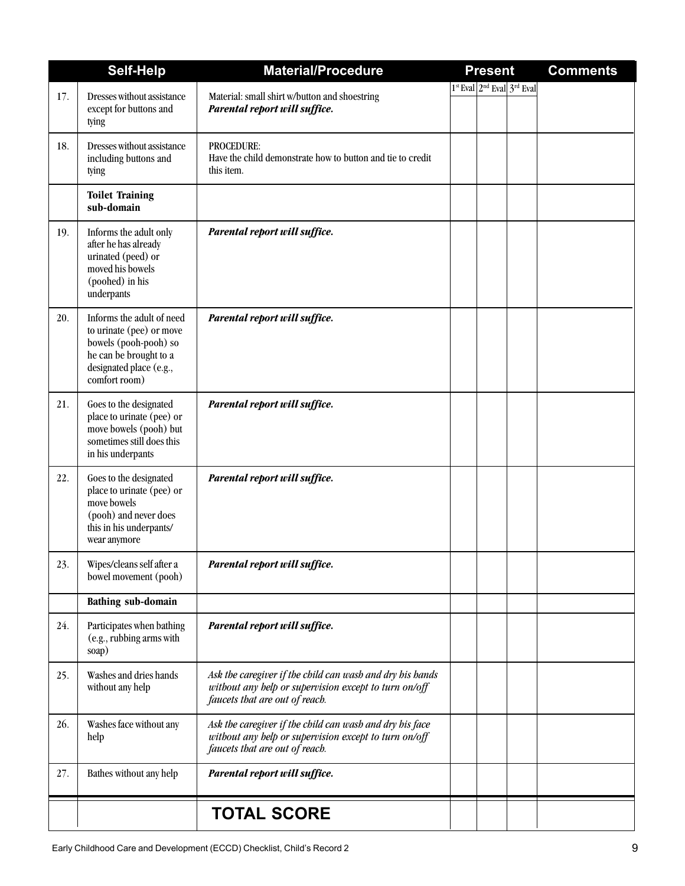|     | Self-Help                                                                                                                                            | <b>Material/Procedure</b>                                                                                                                            | <b>Present</b> |                                  | <b>Comments</b> |
|-----|------------------------------------------------------------------------------------------------------------------------------------------------------|------------------------------------------------------------------------------------------------------------------------------------------------------|----------------|----------------------------------|-----------------|
|     |                                                                                                                                                      |                                                                                                                                                      |                | $1st$ Eval $2nd$ Eval $3rd$ Eval |                 |
| 17. | Dresses without assistance<br>except for buttons and<br>tying                                                                                        | Material: small shirt w/button and shoestring<br>Parental report will suffice.                                                                       |                |                                  |                 |
| 18. | Dresses without assistance<br>including buttons and<br>tying                                                                                         | PROCEDURE:<br>Have the child demonstrate how to button and tie to credit<br>this item.                                                               |                |                                  |                 |
|     | <b>Toilet Training</b><br>sub-domain                                                                                                                 |                                                                                                                                                      |                |                                  |                 |
| 19. | Informs the adult only<br>after he has already<br>urinated (peed) or<br>moved his bowels<br>(poohed) in his<br>underpants                            | Parental report will suffice.                                                                                                                        |                |                                  |                 |
| 20. | Informs the adult of need<br>to urinate (pee) or move<br>bowels (pooh-pooh) so<br>he can be brought to a<br>designated place (e.g.,<br>comfort room) | Parental report will suffice.                                                                                                                        |                |                                  |                 |
| 21. | Goes to the designated<br>place to urinate (pee) or<br>move bowels (pooh) but<br>sometimes still does this<br>in his underpants                      | Parental report will suffice.                                                                                                                        |                |                                  |                 |
| 22. | Goes to the designated<br>place to urinate (pee) or<br>move bowels<br>(pooh) and never does<br>this in his underpants/<br>wear anymore               | Parental report will suffice.                                                                                                                        |                |                                  |                 |
| 23. | Wipes/cleans self after a<br>bowel movement (pooh)                                                                                                   | Parental report will suffice.                                                                                                                        |                |                                  |                 |
|     | <b>Bathing sub-domain</b>                                                                                                                            |                                                                                                                                                      |                |                                  |                 |
| 24. | Participates when bathing<br>(e.g., rubbing arms with<br>soap)                                                                                       | Parental report will suffice.                                                                                                                        |                |                                  |                 |
| 25. | Washes and dries hands<br>without any help                                                                                                           | Ask the caregiver if the child can wash and dry his hands<br>without any help or supervision except to turn on/off<br>faucets that are out of reach. |                |                                  |                 |
| 26. | Washes face without any<br>help                                                                                                                      | Ask the caregiver if the child can wash and dry his face<br>without any help or supervision except to turn on/off<br>faucets that are out of reach.  |                |                                  |                 |
| 27. | Bathes without any help                                                                                                                              | Parental report will suffice.                                                                                                                        |                |                                  |                 |
|     |                                                                                                                                                      | <b>TOTAL SCORE</b>                                                                                                                                   |                |                                  |                 |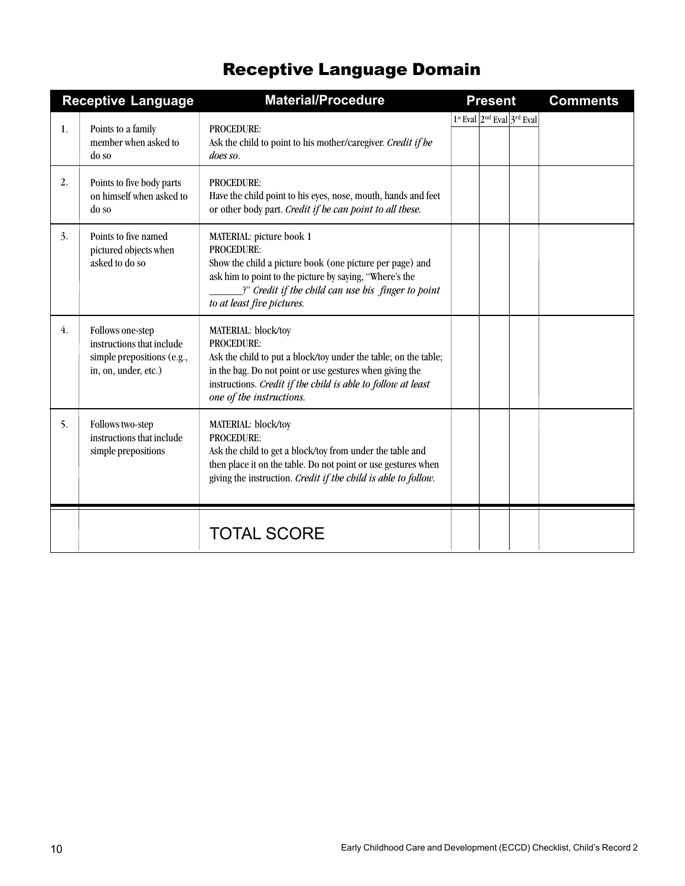## Receptive Language Domain

|    | <b>Receptive Language</b>                                                                           | <b>Material/Procedure</b>                                                                                                                                                                                                                                           | <b>Present</b>                   | <b>Comments</b> |
|----|-----------------------------------------------------------------------------------------------------|---------------------------------------------------------------------------------------------------------------------------------------------------------------------------------------------------------------------------------------------------------------------|----------------------------------|-----------------|
| 1. | Points to a family<br>member when asked to<br>do so                                                 | <b>PROCEDURE:</b><br>Ask the child to point to his mother/caregiver. Credit if he<br>does so.                                                                                                                                                                       | $1st$ Eval $2nd$ Eval $3rd$ Eval |                 |
| 2. | Points to five body parts<br>on himself when asked to<br>do so                                      | <b>PROCEDURE:</b><br>Have the child point to his eyes, nose, mouth, hands and feet<br>or other body part. Credit if he can point to all these.                                                                                                                      |                                  |                 |
| 3. | Points to five named<br>pictured objects when<br>asked to do so                                     | MATERIAL: picture book 1<br>PROCEDURE:<br>Show the child a picture book (one picture per page) and<br>ask him to point to the picture by saying, "Where's the<br>?" Credit if the child can use his finger to point<br>to at least five pictures.                   |                                  |                 |
| 4. | Follows one-step<br>instructions that include<br>simple prepositions (e.g.,<br>in, on, under, etc.) | MATERIAL: block/toy<br><b>PROCEDURE:</b><br>Ask the child to put a block/toy under the table; on the table;<br>in the bag. Do not point or use gestures when giving the<br>instructions. Credit if the child is able to follow at least<br>one of the instructions. |                                  |                 |
| 5. | Follows two-step<br>instructions that include<br>simple prepositions                                | MATERIAL: block/toy<br><b>PROCEDURE:</b><br>Ask the child to get a block/toy from under the table and<br>then place it on the table. Do not point or use gestures when<br>giving the instruction. Credit if the child is able to follow.                            |                                  |                 |
|    |                                                                                                     | <b>TOTAL SCORE</b>                                                                                                                                                                                                                                                  |                                  |                 |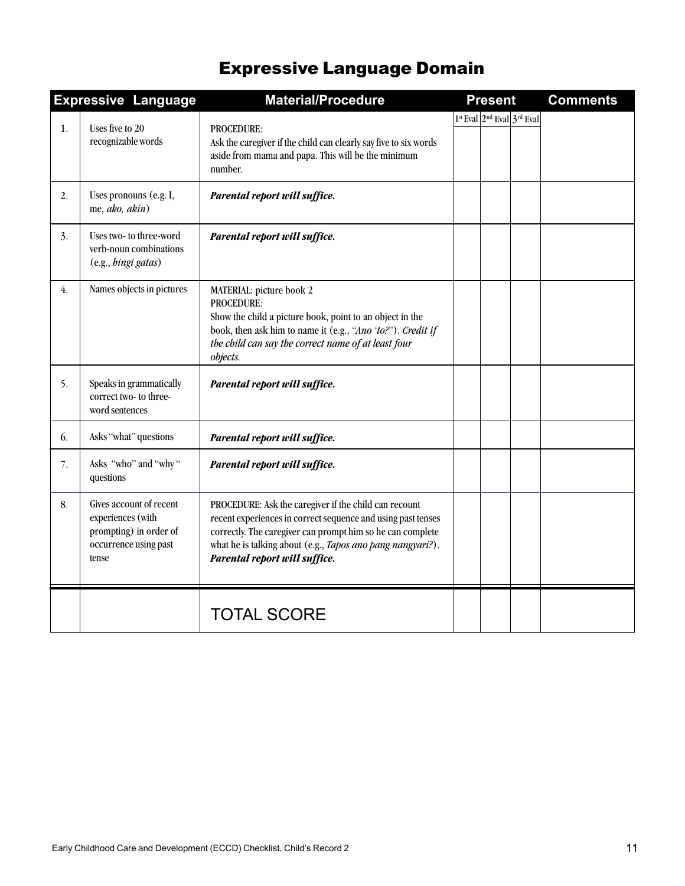## Expressive Language Domain

|                  | <b>Expressive Language</b>                                                                               | <b>Material/Procedure</b>                                                                                                                                                                                                                                                          | <b>Present</b>                   | <b>Comments</b> |
|------------------|----------------------------------------------------------------------------------------------------------|------------------------------------------------------------------------------------------------------------------------------------------------------------------------------------------------------------------------------------------------------------------------------------|----------------------------------|-----------------|
| 1.               | Uses five to 20<br>recognizable words                                                                    | <b>PROCEDURE:</b><br>Ask the caregiver if the child can clearly say five to six words<br>aside from mama and papa. This will be the minimum<br>number.                                                                                                                             | $1st$ Eval $2nd$ Eval $3rd$ Eval |                 |
| 2.               | Uses pronouns (e.g. I,<br>me, ako, akin)                                                                 | Parental report will suffice.                                                                                                                                                                                                                                                      |                                  |                 |
| 3.               | Uses two- to three-word<br>verb-noun combinations<br>(e.g., hingi gatas)                                 | Parental report will suffice.                                                                                                                                                                                                                                                      |                                  |                 |
| $\overline{4}$ . | Names objects in pictures                                                                                | MATERIAL: picture book 2<br>PROCEDURE:<br>Show the child a picture book, point to an object in the<br>book, then ask him to name it (e.g., "Ano 'to?"). Credit if<br>the child can say the correct name of at least four<br>objects.                                               |                                  |                 |
| 5.               | Speaks in grammatically<br>correct two- to three-<br>word sentences                                      | Parental report will suffice.                                                                                                                                                                                                                                                      |                                  |                 |
| 6.               | Asks "what" questions                                                                                    | Parental report will suffice.                                                                                                                                                                                                                                                      |                                  |                 |
| 7.               | Asks "who" and "why"<br>questions                                                                        | Parental report will suffice.                                                                                                                                                                                                                                                      |                                  |                 |
| 8.               | Gives account of recent<br>experiences (with<br>prompting) in order of<br>occurrence using past<br>tense | PROCEDURE: Ask the caregiver if the child can recount<br>recent experiences in correct sequence and using past tenses<br>correctly. The caregiver can prompt him so he can complete<br>what he is talking about (e.g., Tapos ano pang nangyari?).<br>Parental report will suffice. |                                  |                 |
|                  |                                                                                                          | <b>TOTAL SCORE</b>                                                                                                                                                                                                                                                                 |                                  |                 |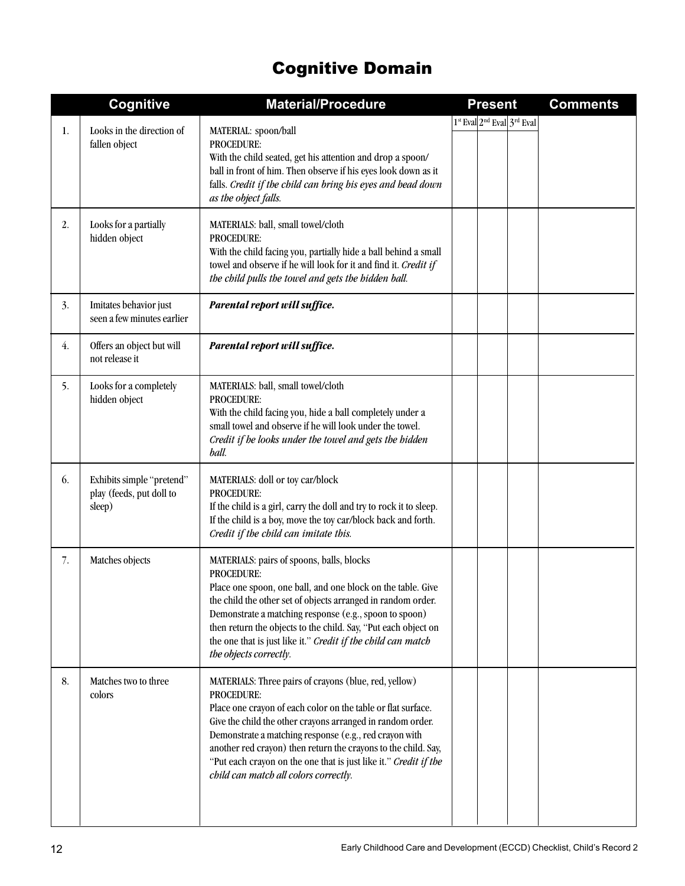## Cognitive Domain

|    | Cognitive                                                       | <b>Material/Procedure</b>                                                                                                                                                                                                                                                                                                                                                                                                                         | <b>Present</b>                                                 | <b>Comments</b> |
|----|-----------------------------------------------------------------|---------------------------------------------------------------------------------------------------------------------------------------------------------------------------------------------------------------------------------------------------------------------------------------------------------------------------------------------------------------------------------------------------------------------------------------------------|----------------------------------------------------------------|-----------------|
| 1. | Looks in the direction of<br>fallen object                      | MATERIAL: spoon/ball<br>PROCEDURE:<br>With the child seated, get his attention and drop a spoon/<br>ball in front of him. Then observe if his eyes look down as it<br>falls. Credit if the child can bring his eyes and head down<br>as the object falls.                                                                                                                                                                                         | 1 <sup>st</sup> Eval 2 <sup>nd</sup> Eval 3 <sup>rd</sup> Eval |                 |
| 2. | Looks for a partially<br>hidden object                          | MATERIALS: ball, small towel/cloth<br><b>PROCEDURE:</b><br>With the child facing you, partially hide a ball behind a small<br>towel and observe if he will look for it and find it. Credit if<br>the child pulls the towel and gets the hidden ball.                                                                                                                                                                                              |                                                                |                 |
| 3. | Imitates behavior just<br>seen a few minutes earlier            | Parental report will suffice.                                                                                                                                                                                                                                                                                                                                                                                                                     |                                                                |                 |
| 4. | Offers an object but will<br>not release it                     | Parental report will suffice.                                                                                                                                                                                                                                                                                                                                                                                                                     |                                                                |                 |
| 5. | Looks for a completely<br>hidden object                         | MATERIALS: ball, small towel/cloth<br><b>PROCEDURE:</b><br>With the child facing you, hide a ball completely under a<br>small towel and observe if he will look under the towel.<br>Credit if he looks under the towel and gets the hidden<br>ball.                                                                                                                                                                                               |                                                                |                 |
| 6. | Exhibits simple "pretend"<br>play (feeds, put doll to<br>sleep) | MATERIALS: doll or toy car/block<br><b>PROCEDURE:</b><br>If the child is a girl, carry the doll and try to rock it to sleep.<br>If the child is a boy, move the toy car/block back and forth.<br>Credit if the child can imitate this.                                                                                                                                                                                                            |                                                                |                 |
| 7. | Matches objects                                                 | MATERIALS: pairs of spoons, balls, blocks<br><b>PROCEDURE:</b><br>Place one spoon, one ball, and one block on the table. Give<br>the child the other set of objects arranged in random order.<br>Demonstrate a matching response (e.g., spoon to spoon)<br>then return the objects to the child. Say, "Put each object on<br>the one that is just like it." Credit if the child can match<br>the objects correctly.                               |                                                                |                 |
| 8. | Matches two to three<br>colors                                  | MATERIALS: Three pairs of crayons (blue, red, yellow)<br><b>PROCEDURE:</b><br>Place one crayon of each color on the table or flat surface.<br>Give the child the other crayons arranged in random order.<br>Demonstrate a matching response (e.g., red crayon with<br>another red crayon) then return the crayons to the child. Say,<br>"Put each crayon on the one that is just like it." Credit if the<br>child can match all colors correctly. |                                                                |                 |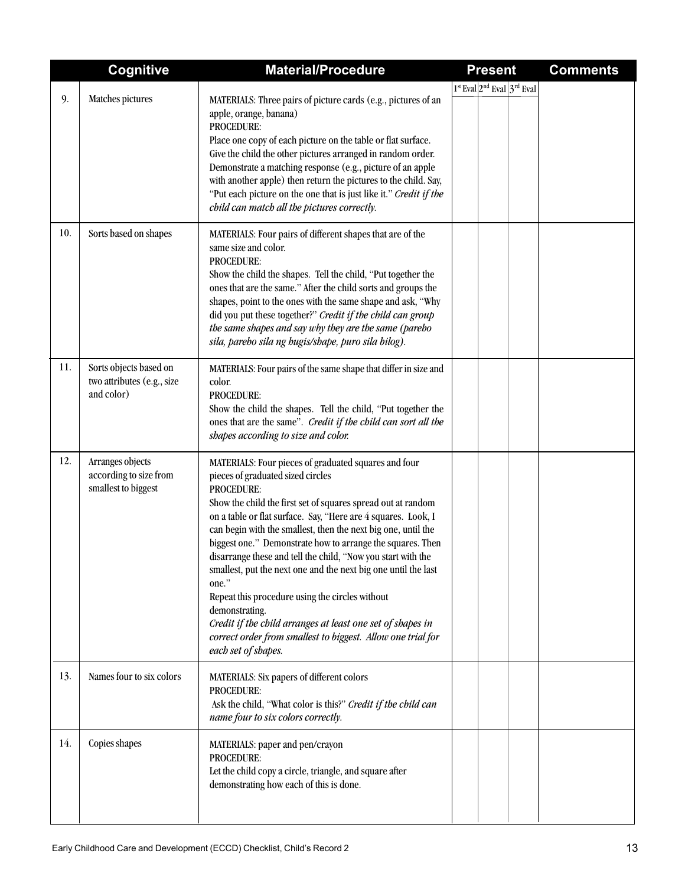|     | <b>Cognitive</b>                                                   | <b>Material/Procedure</b>                                                                                                                                                                                                                                                                                                                                                                                                                                                                                                                                                                                                                                                                                                                   | <b>Present</b>                   | <b>Comments</b> |
|-----|--------------------------------------------------------------------|---------------------------------------------------------------------------------------------------------------------------------------------------------------------------------------------------------------------------------------------------------------------------------------------------------------------------------------------------------------------------------------------------------------------------------------------------------------------------------------------------------------------------------------------------------------------------------------------------------------------------------------------------------------------------------------------------------------------------------------------|----------------------------------|-----------------|
|     |                                                                    |                                                                                                                                                                                                                                                                                                                                                                                                                                                                                                                                                                                                                                                                                                                                             | $1st$ Eval $2nd$ Eval $3rd$ Eval |                 |
| 9.  | Matches pictures                                                   | MATERIALS: Three pairs of picture cards (e.g., pictures of an<br>apple, orange, banana)<br>PROCEDURE:<br>Place one copy of each picture on the table or flat surface.<br>Give the child the other pictures arranged in random order.<br>Demonstrate a matching response (e.g., picture of an apple<br>with another apple) then return the pictures to the child. Say,<br>"Put each picture on the one that is just like it." Credit if the<br>child can match all the pictures correctly.                                                                                                                                                                                                                                                   |                                  |                 |
| 10. | Sorts based on shapes                                              | MATERIALS: Four pairs of different shapes that are of the<br>same size and color.<br>PROCEDURE:<br>Show the child the shapes. Tell the child, "Put together the<br>ones that are the same." After the child sorts and groups the<br>shapes, point to the ones with the same shape and ask, "Why<br>did you put these together?" Credit if the child can group<br>the same shapes and say why they are the same (pareho<br>sila, pareho sila ng hugis/shape, puro sila bilog).                                                                                                                                                                                                                                                               |                                  |                 |
| 11. | Sorts objects based on<br>two attributes (e.g., size<br>and color) | MATERIALS: Four pairs of the same shape that differ in size and<br>color.<br><b>PROCEDURE:</b><br>Show the child the shapes. Tell the child, "Put together the<br>ones that are the same". Credit if the child can sort all the<br>shapes according to size and color.                                                                                                                                                                                                                                                                                                                                                                                                                                                                      |                                  |                 |
| 12. | Arranges objects<br>according to size from<br>smallest to biggest  | MATERIALS: Four pieces of graduated squares and four<br>pieces of graduated sized circles<br>PROCEDURE:<br>Show the child the first set of squares spread out at random<br>on a table or flat surface. Say, "Here are 4 squares. Look, I<br>can begin with the smallest, then the next big one, until the<br>biggest one." Demonstrate how to arrange the squares. Then<br>disarrange these and tell the child, "Now you start with the<br>smallest, put the next one and the next big one until the last<br>one."<br>Repeat this procedure using the circles without<br>demonstrating.<br>Credit if the child arranges at least one set of shapes in<br>correct order from smallest to biggest. Allow one trial for<br>each set of shapes. |                                  |                 |
| 13. | Names four to six colors                                           | MATERIALS: Six papers of different colors<br>PROCEDURE:<br>Ask the child, "What color is this?" Credit if the child can<br>name four to six colors correctly.                                                                                                                                                                                                                                                                                                                                                                                                                                                                                                                                                                               |                                  |                 |
| 14. | Copies shapes                                                      | MATERIALS: paper and pen/crayon<br>PROCEDURE:<br>Let the child copy a circle, triangle, and square after<br>demonstrating how each of this is done.                                                                                                                                                                                                                                                                                                                                                                                                                                                                                                                                                                                         |                                  |                 |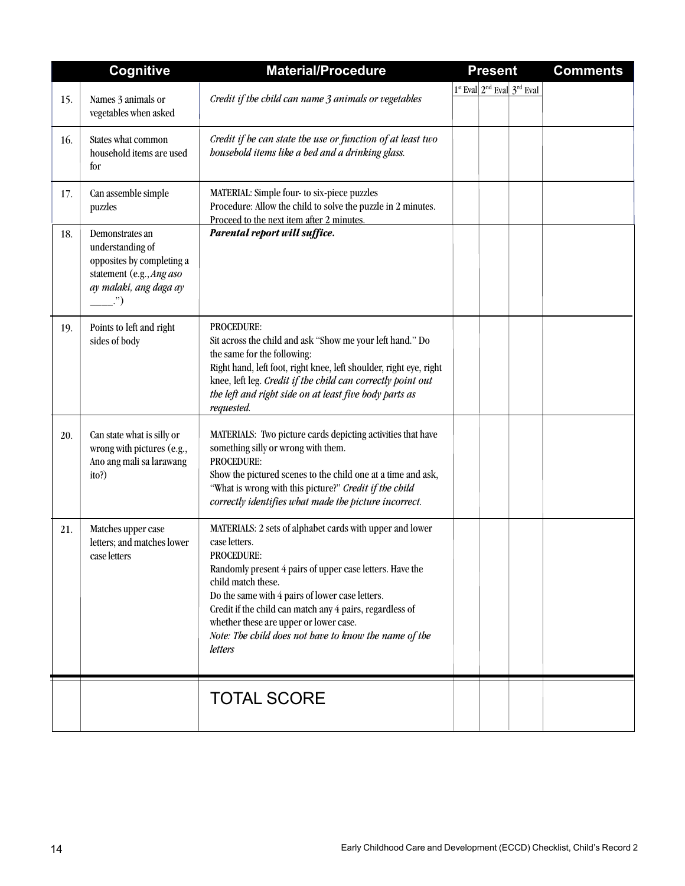|     | <b>Cognitive</b>                                                                                                                     | <b>Material/Procedure</b>                                                                                                                                                                                                                                                                                                                                                                                     | <b>Present</b> |                                                    | <b>Comments</b> |  |  |  |  |
|-----|--------------------------------------------------------------------------------------------------------------------------------------|---------------------------------------------------------------------------------------------------------------------------------------------------------------------------------------------------------------------------------------------------------------------------------------------------------------------------------------------------------------------------------------------------------------|----------------|----------------------------------------------------|-----------------|--|--|--|--|
| 15. | Names 3 animals or<br>vegetables when asked                                                                                          | Credit if the child can name 3 animals or vegetables                                                                                                                                                                                                                                                                                                                                                          |                | 1st Eval 2 <sup>nd</sup> Eval 3 <sup>rd</sup> Eval |                 |  |  |  |  |
| 16. | States what common<br>household items are used<br>for                                                                                | Credit if he can state the use or function of at least two<br>bousehold items like a bed and a drinking glass.                                                                                                                                                                                                                                                                                                |                |                                                    |                 |  |  |  |  |
| 17. | Can assemble simple<br>puzzles                                                                                                       | MATERIAL: Simple four- to six-piece puzzles<br>Procedure: Allow the child to solve the puzzle in 2 minutes.<br>Proceed to the next item after 2 minutes.                                                                                                                                                                                                                                                      |                |                                                    |                 |  |  |  |  |
| 18. | Demonstrates an<br>understanding of<br>opposites by completing a<br>statement (e.g., Ang aso<br>ay malaki, ang daga ay<br>$\cdot$ ") | Parental report will suffice.                                                                                                                                                                                                                                                                                                                                                                                 |                |                                                    |                 |  |  |  |  |
| 19. | Points to left and right<br>sides of body                                                                                            | <b>PROCEDURE:</b><br>Sit across the child and ask "Show me your left hand." Do<br>the same for the following:<br>Right hand, left foot, right knee, left shoulder, right eye, right<br>knee, left leg. Credit if the child can correctly point out<br>the left and right side on at least five body parts as<br>requested.                                                                                    |                |                                                    |                 |  |  |  |  |
| 20. | Can state what is silly or<br>wrong with pictures (e.g.,<br>Ano ang mali sa larawang<br>ito?)                                        | MATERIALS: Two picture cards depicting activities that have<br>something silly or wrong with them.<br><b>PROCEDURE:</b><br>Show the pictured scenes to the child one at a time and ask,<br>"What is wrong with this picture?" Credit if the child<br>correctly identifies what made the picture incorrect.                                                                                                    |                |                                                    |                 |  |  |  |  |
| 21. | Matches upper case<br>letters; and matches lower<br>case letters                                                                     | MATERIALS: 2 sets of alphabet cards with upper and lower<br>case letters.<br><b>PROCEDURE:</b><br>Randomly present 4 pairs of upper case letters. Have the<br>child match these.<br>Do the same with 4 pairs of lower case letters.<br>Credit if the child can match any 4 pairs, regardless of<br>whether these are upper or lower case.<br>Note: The child does not have to know the name of the<br>letters |                |                                                    |                 |  |  |  |  |
|     |                                                                                                                                      | <b>TOTAL SCORE</b>                                                                                                                                                                                                                                                                                                                                                                                            |                |                                                    |                 |  |  |  |  |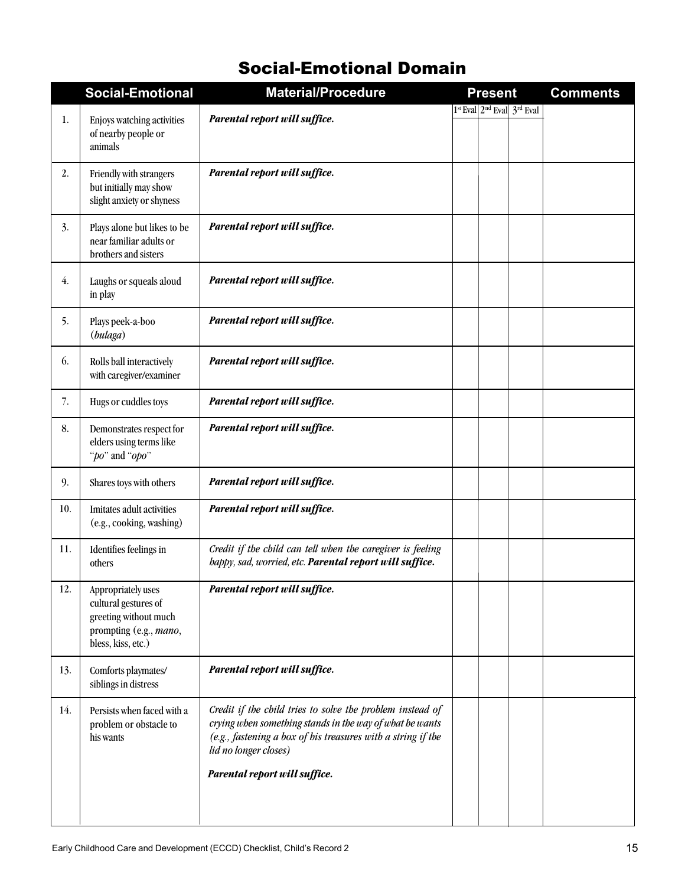## Social-Emotional Domain

|     | <b>Social-Emotional</b>                                                                                             | <b>Material/Procedure</b>                                                                                                                                                                                      | <b>Present</b> |                                  | <b>Comments</b> |  |  |  |  |
|-----|---------------------------------------------------------------------------------------------------------------------|----------------------------------------------------------------------------------------------------------------------------------------------------------------------------------------------------------------|----------------|----------------------------------|-----------------|--|--|--|--|
|     |                                                                                                                     |                                                                                                                                                                                                                |                | $1st$ Eval $2nd$ Eval $3rd$ Eval |                 |  |  |  |  |
| 1.  | Enjoys watching activities<br>of nearby people or<br>animals                                                        | Parental report will suffice.                                                                                                                                                                                  |                |                                  |                 |  |  |  |  |
| 2.  | Friendly with strangers<br>but initially may show<br>slight anxiety or shyness                                      | Parental report will suffice.                                                                                                                                                                                  |                |                                  |                 |  |  |  |  |
| 3.  | Plays alone but likes to be<br>near familiar adults or<br>brothers and sisters                                      | Parental report will suffice.                                                                                                                                                                                  |                |                                  |                 |  |  |  |  |
| 4.  | Laughs or squeals aloud<br>in play                                                                                  | Parental report will suffice.                                                                                                                                                                                  |                |                                  |                 |  |  |  |  |
| 5.  | Plays peek-a-boo<br>(bulaga)                                                                                        | Parental report will suffice.                                                                                                                                                                                  |                |                                  |                 |  |  |  |  |
| 6.  | Rolls ball interactively<br>with caregiver/examiner                                                                 | Parental report will suffice.                                                                                                                                                                                  |                |                                  |                 |  |  |  |  |
| 7.  | Hugs or cuddles toys                                                                                                | Parental report will suffice.                                                                                                                                                                                  |                |                                  |                 |  |  |  |  |
| 8.  | Demonstrates respect for<br>elders using terms like<br>"po" and "opo"                                               | Parental report will suffice.                                                                                                                                                                                  |                |                                  |                 |  |  |  |  |
| 9.  | Shares toys with others                                                                                             | Parental report will suffice.                                                                                                                                                                                  |                |                                  |                 |  |  |  |  |
| 10. | Imitates adult activities<br>(e.g., cooking, washing)                                                               | Parental report will suffice.                                                                                                                                                                                  |                |                                  |                 |  |  |  |  |
| 11. | Identifies feelings in<br>others                                                                                    | Credit if the child can tell when the caregiver is feeling<br>happy, sad, worried, etc. Parental report will suffice.                                                                                          |                |                                  |                 |  |  |  |  |
| 12. | Appropriately uses<br>cultural gestures of<br>greeting without much<br>prompting (e.g., mano,<br>bless, kiss, etc.) | Parental report will suffice.                                                                                                                                                                                  |                |                                  |                 |  |  |  |  |
| 13. | Comforts playmates/<br>siblings in distress                                                                         | Parental report will suffice.                                                                                                                                                                                  |                |                                  |                 |  |  |  |  |
| 14. | Persists when faced with a<br>problem or obstacle to<br>his wants                                                   | Credit if the child tries to solve the problem instead of<br>crying when something stands in the way of what he wants<br>(e.g., fastening a box of his treasures with a string if the<br>lid no longer closes) |                |                                  |                 |  |  |  |  |
|     |                                                                                                                     | Parental report will suffice.                                                                                                                                                                                  |                |                                  |                 |  |  |  |  |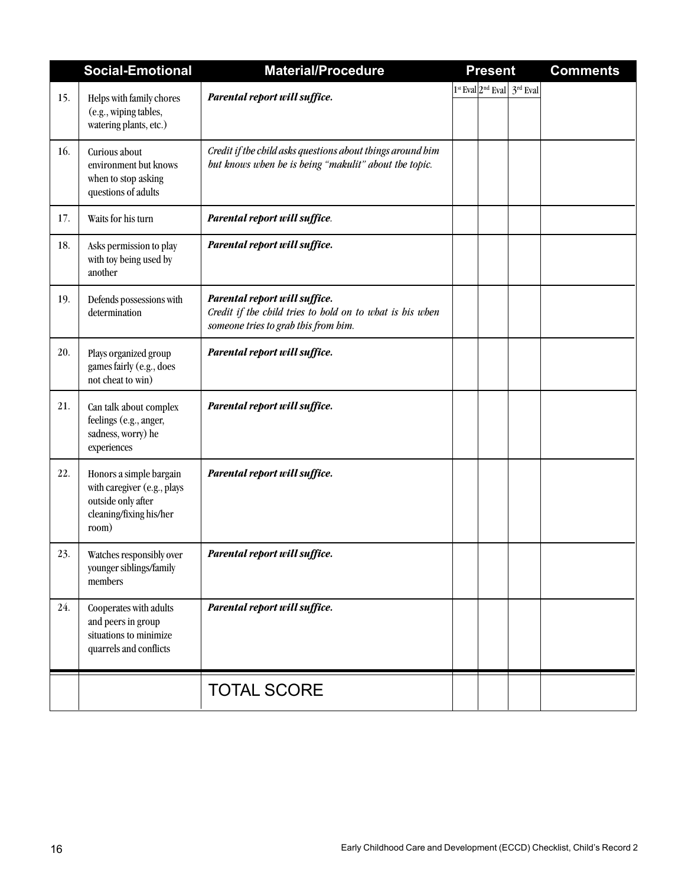|     | <b>Social-Emotional</b>                                                                                          | <b>Material/Procedure</b>                                                                                                         | <b>Present</b> |                                  | <b>Comments</b> |  |  |  |  |
|-----|------------------------------------------------------------------------------------------------------------------|-----------------------------------------------------------------------------------------------------------------------------------|----------------|----------------------------------|-----------------|--|--|--|--|
| 15. | Helps with family chores<br>(e.g., wiping tables,<br>watering plants, etc.)                                      | Parental report will suffice.                                                                                                     |                | $1st$ Eval $2nd$ Eval $3rd$ Eval |                 |  |  |  |  |
| 16. | Curious about<br>environment but knows<br>when to stop asking<br>questions of adults                             | Credit if the child asks questions about things around him<br>but knows when he is being "makulit" about the topic.               |                |                                  |                 |  |  |  |  |
| 17. | Waits for his turn                                                                                               | Parental report will suffice.                                                                                                     |                |                                  |                 |  |  |  |  |
| 18. | Asks permission to play<br>with toy being used by<br>another                                                     | Parental report will suffice.                                                                                                     |                |                                  |                 |  |  |  |  |
| 19. | Defends possessions with<br>determination                                                                        | Parental report will suffice.<br>Credit if the child tries to hold on to what is his when<br>someone tries to grab this from him. |                |                                  |                 |  |  |  |  |
| 20. | Plays organized group<br>games fairly (e.g., does<br>not cheat to win)                                           | Parental report will suffice.                                                                                                     |                |                                  |                 |  |  |  |  |
| 21. | Can talk about complex<br>feelings (e.g., anger,<br>sadness, worry) he<br>experiences                            | Parental report will suffice.                                                                                                     |                |                                  |                 |  |  |  |  |
| 22. | Honors a simple bargain<br>with caregiver (e.g., plays<br>outside only after<br>cleaning/fixing his/her<br>room) | Parental report will suffice.                                                                                                     |                |                                  |                 |  |  |  |  |
| 23. | Watches responsibly over<br>younger siblings/family<br>members                                                   | Parental report will suffice.                                                                                                     |                |                                  |                 |  |  |  |  |
| 24. | Cooperates with adults<br>and peers in group<br>situations to minimize<br>quarrels and conflicts                 | Parental report will suffice.                                                                                                     |                |                                  |                 |  |  |  |  |
|     |                                                                                                                  | <b>TOTAL SCORE</b>                                                                                                                |                |                                  |                 |  |  |  |  |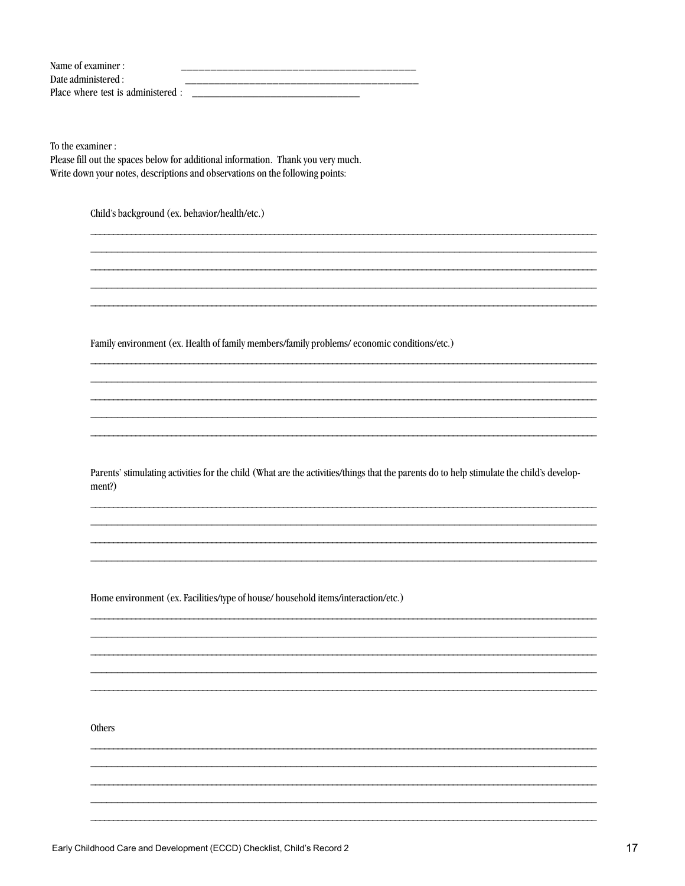| Name of examiner :                 |  |
|------------------------------------|--|
| Date administered :                |  |
| Place where test is administered : |  |

To the examiner :

Please fill out the spaces below for additional information. Thank you very much. Write down your notes, descriptions and observations on the following points:

Child's background (ex. behavior/health/etc.)

Family environment (ex. Health of family members/family problems/economic conditions/etc.)

Parents' stimulating activities for the child (What are the activities/things that the parents do to help stimulate the child's development?)

Home environment (ex. Facilities/type of house/ household items/interaction/etc.)

Others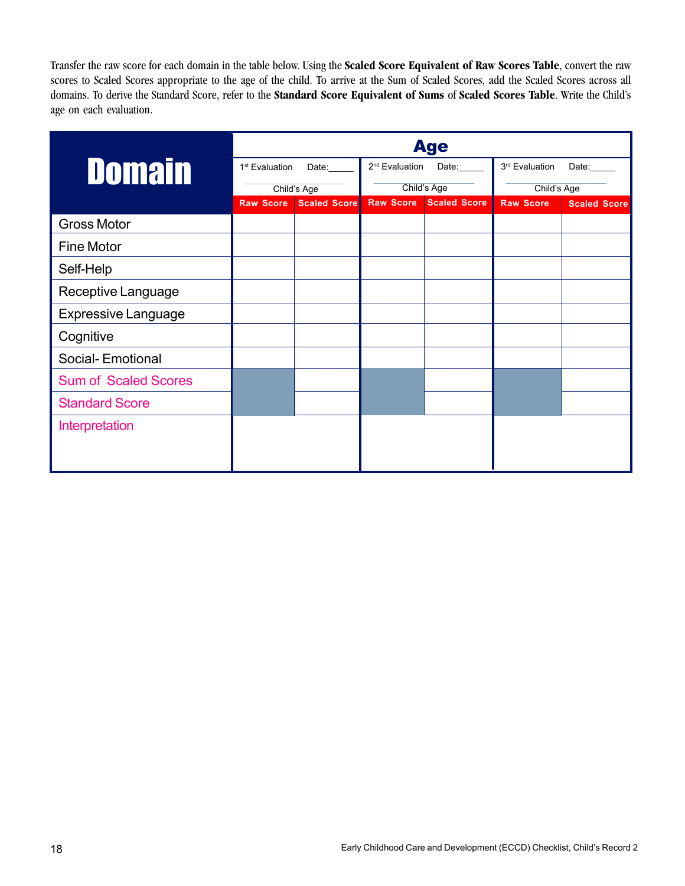Transfer the raw score for each domain in the table below. Using the **Scaled Score Equivalent of Raw Scores Table**, convert the raw scores to Scaled Scores appropriate to the age of the child. To arrive at the Sum of Scaled Scores, add the Scaled Scores across all domains. To derive the Standard Score, refer to the **Standard Score Equivalent of Sums** of **Scaled Scores Table**. Write the Child's age on each evaluation.

|                             | <b>Age</b>                 |                     |                            |                     |                  |                     |  |  |  |  |  |  |  |  |
|-----------------------------|----------------------------|---------------------|----------------------------|---------------------|------------------|---------------------|--|--|--|--|--|--|--|--|
| <b>Domain</b>               | 1 <sup>st</sup> Evaluation | Date:               | 2 <sup>nd</sup> Evaluation | Date:               | 3rd Evaluation   | Date:               |  |  |  |  |  |  |  |  |
|                             |                            | Child's Age         |                            | Child's Age         | Child's Age      |                     |  |  |  |  |  |  |  |  |
|                             | <b>Raw Score</b>           | <b>Scaled Score</b> | <b>Raw Score</b>           | <b>Scaled Score</b> | <b>Raw Score</b> | <b>Scaled Score</b> |  |  |  |  |  |  |  |  |
| <b>Gross Motor</b>          |                            |                     |                            |                     |                  |                     |  |  |  |  |  |  |  |  |
| <b>Fine Motor</b>           |                            |                     |                            |                     |                  |                     |  |  |  |  |  |  |  |  |
| Self-Help                   |                            |                     |                            |                     |                  |                     |  |  |  |  |  |  |  |  |
| Receptive Language          |                            |                     |                            |                     |                  |                     |  |  |  |  |  |  |  |  |
| <b>Expressive Language</b>  |                            |                     |                            |                     |                  |                     |  |  |  |  |  |  |  |  |
| Cognitive                   |                            |                     |                            |                     |                  |                     |  |  |  |  |  |  |  |  |
| Social-Emotional            |                            |                     |                            |                     |                  |                     |  |  |  |  |  |  |  |  |
| <b>Sum of Scaled Scores</b> |                            |                     |                            |                     |                  |                     |  |  |  |  |  |  |  |  |
| <b>Standard Score</b>       |                            |                     |                            |                     |                  |                     |  |  |  |  |  |  |  |  |
| Interpretation              |                            |                     |                            |                     |                  |                     |  |  |  |  |  |  |  |  |
|                             |                            |                     |                            |                     |                  |                     |  |  |  |  |  |  |  |  |
|                             |                            |                     |                            |                     |                  |                     |  |  |  |  |  |  |  |  |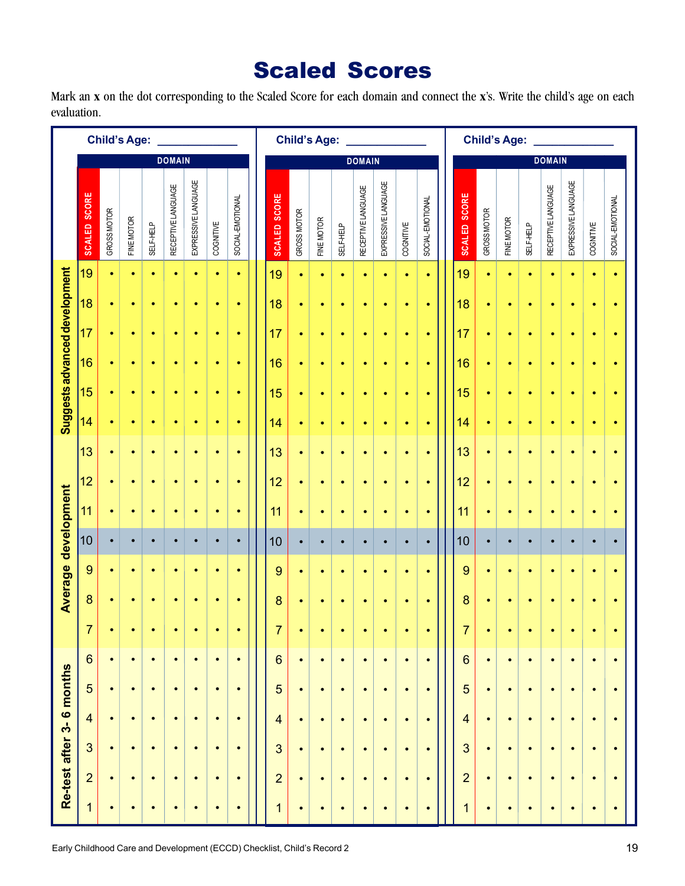## Scaled Scores

Mark an **x** on the dot corresponding to the Scaled Score for each domain and connect the **x**'s. Write the child's age on each evaluation.

| <b>Child's Age:</b>           |                         |             |            |                  |                    | <b>Child's Age:</b> |           |                  |                         |             |            |                  |                    |                     | <b>Child's Age:</b> |                  |  |                         |             |            |                  |                    |                     |           |                  |
|-------------------------------|-------------------------|-------------|------------|------------------|--------------------|---------------------|-----------|------------------|-------------------------|-------------|------------|------------------|--------------------|---------------------|---------------------|------------------|--|-------------------------|-------------|------------|------------------|--------------------|---------------------|-----------|------------------|
|                               |                         |             |            |                  | <b>DOMAIN</b>      |                     |           |                  | <b>DOMAIN</b>           |             |            |                  |                    |                     |                     |                  |  | <b>DOMAIN</b>           |             |            |                  |                    |                     |           |                  |
|                               | <b>SCALED SCORE</b>     | GROSS MOTOR | FINE MOTOR | <b>SELF-HELP</b> | RECEPTIVE LANGUAGE | EXPRESSIVE LANGUAGE | COGNITIVE | SOCIAL-EMOTIONAL | <b>SCALED SCORE</b>     | GROSS MOTOR | FINE MOTOR | <b>SELF-HELP</b> | RECEPTIVE LANGUAGE | EXPRESSIVE LANGUAGE | COGNITIVE           | SOCIAL-EMOTIONAL |  | <b>SCALED SCORE</b>     | GROSS MOTOR | FINE MOTOR | <b>SELF-HELP</b> | RECEPTIVE LANGUAGE | EXPRESSIVE LANGUAGE | COGNITIVE | SOCIAL-EMOTIONAL |
|                               | 19                      | $\bullet$   | $\bullet$  | $\bullet$        | $\bullet$          | $\bullet$           | $\bullet$ | $\bullet$        | 19                      | $\bullet$   | $\bullet$  | $\bullet$        | $\bullet$          | $\bullet$           | $\bullet$           | $\bullet$        |  | 19                      | $\bullet$   | $\bullet$  | $\bullet$        | $\bullet$          | $\bullet$           | $\bullet$ | $\bullet$        |
| Suggests advanced development | 18                      | $\bullet$   | $\bullet$  | $\bullet$        | $\bullet$          | $\bullet$           | $\bullet$ | $\bullet$        | 18                      | $\bullet$   | $\bullet$  | $\bullet$        | $\bullet$          | $\bullet$           | $\bullet$           | $\bullet$        |  | 18                      | $\bullet$   | $\bullet$  | $\bullet$        | $\bullet$          | $\bullet$           | $\bullet$ | $\bullet$        |
|                               | 17                      | $\bullet$   | $\bullet$  | $\bullet$        | ٠                  | $\bullet$           | ٠         | ٠                | 17                      | $\bullet$   | $\bullet$  | $\bullet$        | $\bullet$          | $\bullet$           | $\bullet$           | $\bullet$        |  | 17                      | $\bullet$   | $\bullet$  | $\bullet$        | $\bullet$          | $\bullet$           | ¢         | $\bullet$        |
|                               | 16                      | $\bullet$   | $\bullet$  | $\bullet$        | $\bullet$          | $\bullet$           | $\bullet$ | $\bullet$        | 16                      | $\bullet$   | $\bullet$  | $\bullet$        | $\bullet$          | ٠                   | $\bullet$           | $\bullet$        |  | 16                      | $\bullet$   | $\bullet$  | $\bullet$        | $\bullet$          | $\bullet$           | $\bullet$ | $\bullet$        |
|                               | 15                      | $\bullet$   | $\bullet$  | $\bullet$        | $\bullet$          | $\bullet$           | $\bullet$ | $\bullet$        | 15                      | $\bullet$   | $\bullet$  | ۰                | $\bullet$          | $\bullet$           | ۰                   | $\bullet$        |  | 15                      | $\bullet$   | $\bullet$  | $\bullet$        | $\bullet$          | $\bullet$           | ¢         | $\bullet$        |
|                               | 14                      | $\bullet$   | $\bullet$  | $\bullet$        | ٠                  | $\bullet$           | $\bullet$ | $\bullet$        | 14                      | $\bullet$   | $\bullet$  | $\bullet$        | $\bullet$          | $\bullet$           | $\bullet$           | $\bullet$        |  | 14                      | $\bullet$   | $\bullet$  | $\bullet$        | $\bullet$          | $\bullet$           | $\bullet$ | $\bullet$        |
|                               | 13                      | $\bullet$   | $\bullet$  | $\bullet$        | $\bullet$          | $\bullet$           | $\bullet$ | $\bullet$        | 13                      | $\bullet$   | $\bullet$  | $\bullet$        | $\bullet$          | $\bullet$           | $\bullet$           | $\bullet$        |  | 13                      | $\bullet$   | $\bullet$  | $\bullet$        | $\bullet$          | $\bullet$           | $\bullet$ | $\bullet$        |
|                               | 12                      | $\bullet$   | $\bullet$  | $\bullet$        | $\bullet$          | $\bullet$           | $\bullet$ | $\bullet$        | 12                      | $\bullet$   | $\bullet$  | $\bullet$        | $\bullet$          | $\bullet$           | $\bullet$           | $\bullet$        |  | 12                      | $\bullet$   | $\bullet$  | $\bullet$        | $\bullet$          |                     |           | $\bullet$        |
| Average development           | 11                      | $\bullet$   | $\bullet$  | $\bullet$        | $\bullet$          | $\bullet$           | $\bullet$ | $\bullet$        | 11                      | $\bullet$   | $\bullet$  | $\bullet$        | $\bullet$          | $\bullet$           | $\bullet$           | $\bullet$        |  | 11                      | $\bullet$   | $\bullet$  | $\bullet$        | $\bullet$          |                     |           | $\bullet$        |
|                               | 10                      | $\bullet$   | $\bullet$  | $\bullet$        | $\bullet$          | $\bullet$           | $\bullet$ | $\bullet$        | 10                      | $\bullet$   | $\bullet$  | $\bullet$        | $\bullet$          | $\bullet$           | $\bullet$           | $\bullet$        |  | 10                      | $\bullet$   | $\bullet$  | $\bullet$        | $\bullet$          | $\bullet$           | $\bullet$ | $\bullet$        |
|                               | 9                       | $\bullet$   | $\bullet$  | $\bullet$        | $\bullet$          | $\bullet$           | $\bullet$ | $\bullet$        | 9                       | $\bullet$   | $\bullet$  | $\bullet$        | $\bullet$          | $\bullet$           | $\bullet$           | $\bullet$        |  | 9                       | $\bullet$   | $\bullet$  | $\bullet$        | $\bullet$          | $\bullet$           | $\bullet$ | $\bullet$        |
|                               | 8                       | $\bullet$   | $\bullet$  | $\bullet$        | $\bullet$          | $\bullet$           | $\bullet$ | $\bullet$        | 8                       | $\bullet$   |            | $\bullet$        | $\bullet$          |                     | $\bullet$           |                  |  | 8                       | $\bullet$   | $\bullet$  |                  | $\bullet$          |                     |           |                  |
|                               |                         | $\bullet$   | $\bullet$  | $\bullet$        | ö                  | $\bullet$           | $\bullet$ | $\bullet$        |                         | ٠           | $\bullet$  | $\bullet$        | $\bullet$          |                     | $\bullet$           |                  |  |                         | $\bullet$   |            | $\bullet$        | $\bullet$          | $\bullet$           | $\bullet$ |                  |
|                               | $6\phantom{1}6$         | $\bullet$   | $\bullet$  | $\bullet$        | $\bullet$          | $\bullet$           | $\bullet$ | $\bullet$        | 6                       | $\bullet$   | $\bullet$  | $\bullet$        | $\bullet$          | $\bullet$           | $\bullet$           | $\bullet$        |  | $6\phantom{1}6$         | $\bullet$   | $\bullet$  | $\bullet$        | $\bullet$          | $\bullet$           | $\bullet$ | $\bullet$        |
|                               | 5                       | $\bullet$   | $\bullet$  | $\bullet$        | $\bullet$          | $\bullet$           | $\bullet$ | $\bullet$        | 5                       | $\bullet$   | $\bullet$  | $\bullet$        | $\bullet$          | $\bullet$           | $\bullet$           | $\bullet$        |  | 5                       | $\bullet$   | $\bullet$  | $\bullet$        | $\bullet$          | $\bullet$           | $\bullet$ | $\bullet$        |
| Re-test after 3-6 months      | $\overline{\mathbf{4}}$ | $\bullet$   | $\bullet$  | $\bullet$        | $\bullet$          | $\bullet$           | $\bullet$ | $\bullet$        | $\overline{\mathbf{4}}$ | $\bullet$   | $\bullet$  | $\bullet$        | $\bullet$          | $\bullet$           | $\bullet$           | $\bullet$        |  | $\overline{\mathbf{4}}$ | $\bullet$   | $\bullet$  | $\bullet$        | $\bullet$          | $\bullet$           | $\bullet$ | $\bullet$        |
|                               | 3                       | $\bullet$   | $\bullet$  | $\bullet$        | $\bullet$          | $\bullet$           | $\bullet$ | $\bullet$        | 3                       | $\bullet$   | $\bullet$  | $\bullet$        | $\bullet$          | $\bullet$           | $\bullet$           | $\bullet$        |  | 3                       | $\bullet$   | $\bullet$  | $\bullet$        | $\bullet$          | $\bullet$           | $\bullet$ | $\bullet$        |
|                               | $\overline{2}$          | $\bullet$   | $\bullet$  | $\bullet$        | $\bullet$          | $\bullet$           | $\bullet$ | $\bullet$        | $\overline{2}$          | $\bullet$   | $\bullet$  | $\bullet$        | $\bullet$          | $\bullet$           | $\bullet$           | $\bullet$        |  | $\overline{2}$          | $\bullet$   | $\bullet$  | $\bullet$        | $\bullet$          | $\bullet$           | $\bullet$ | $\bullet$        |
|                               | 1                       | $\bullet$   | $\bullet$  | $\bullet$        | $\bullet$          | $\bullet$           | $\bullet$ | $\bullet$        | 1                       | $\bullet$   | $\bullet$  | $\bullet$        | $\bullet$          | $\bullet$           | $\bullet$           |                  |  | 1                       | $\bullet$   | $\bullet$  | $\bullet$        | $\bullet$          | $\bullet$           | $\bullet$ | $\bullet$        |